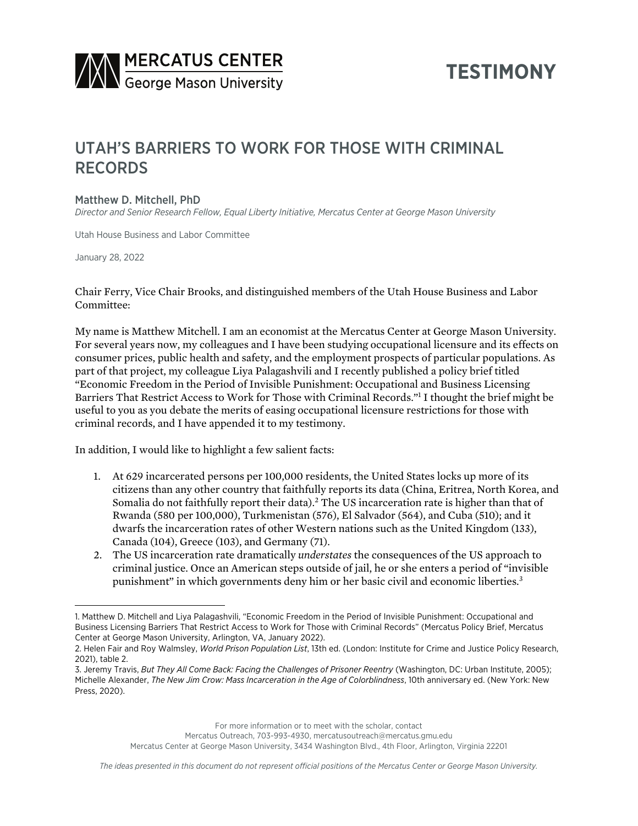

# **TESTIMONY**

# UTAH'S BARRIERS TO WORK FOR THOSE WITH CRIMINAL RECORDS

#### Matthew D. Mitchell, PhD

*Director and Senior Research Fellow, Equal Liberty Initiative, Mercatus Center at George Mason University*

Utah House Business and Labor Committee

January 28, 2022

Chair Ferry, Vice Chair Brooks, and distinguished members of the Utah House Business and Labor Committee:

My name is Matthew Mitchell. I am an economist at the Mercatus Center at George Mason University. For several years now, my colleagues and I have been studying occupational licensure and its effects on consumer prices, public health and safety, and the employment prospects of particular populations. As part of that project, my colleague Liya Palagashvili and I recently published a policy brief titled "Economic Freedom in the Period of Invisible Punishment: Occupational and Business Licensing Barriers That Restrict Access to Work for Those with Criminal Records."1 I thought the brief might be useful to you as you debate the merits of easing occupational licensure restrictions for those with criminal records, and I have appended it to my testimony.

In addition, I would like to highlight a few salient facts:

- 1. At 629 incarcerated persons per 100,000 residents, the United States locks up more of its citizens than any other country that faithfully reports its data (China, Eritrea, North Korea, and Somalia do not faithfully report their data).<sup>2</sup> The US incarceration rate is higher than that of Rwanda (580 per 100,000), Turkmenistan (576), El Salvador (564), and Cuba (510); and it dwarfs the incarceration rates of other Western nations such as the United Kingdom (133), Canada (104), Greece (103), and Germany (71).
- 2. The US incarceration rate dramatically *understates* the consequences of the US approach to criminal justice. Once an American steps outside of jail, he or she enters a period of "invisible punishment" in which governments deny him or her basic civil and economic liberties.3

For more information or to meet with the scholar, contact

Mercatus Outreach, 703-993-4930, mercatusoutreach@mercatus.gmu.edu

Mercatus Center at George Mason University, 3434 Washington Blvd., 4th Floor, Arlington, Virginia 22201

<sup>1.</sup> Matthew D. Mitchell and Liya Palagashvili, "Economic Freedom in the Period of Invisible Punishment: Occupational and Business Licensing Barriers That Restrict Access to Work for Those with Criminal Records" (Mercatus Policy Brief, Mercatus Center at George Mason University, Arlington, VA, January 2022).

<sup>2.</sup> Helen Fair and Roy Walmsley, *World Prison Population List*, 13th ed. (London: Institute for Crime and Justice Policy Research, 2021), table 2.

<sup>3.</sup> Jeremy Travis, *But They All Come Back: Facing the Challenges of Prisoner Reentry* (Washington, DC: Urban Institute, 2005); Michelle Alexander, *The New Jim Crow: Mass Incarceration in the Age of Colorblindness*, 10th anniversary ed. (New York: New Press, 2020).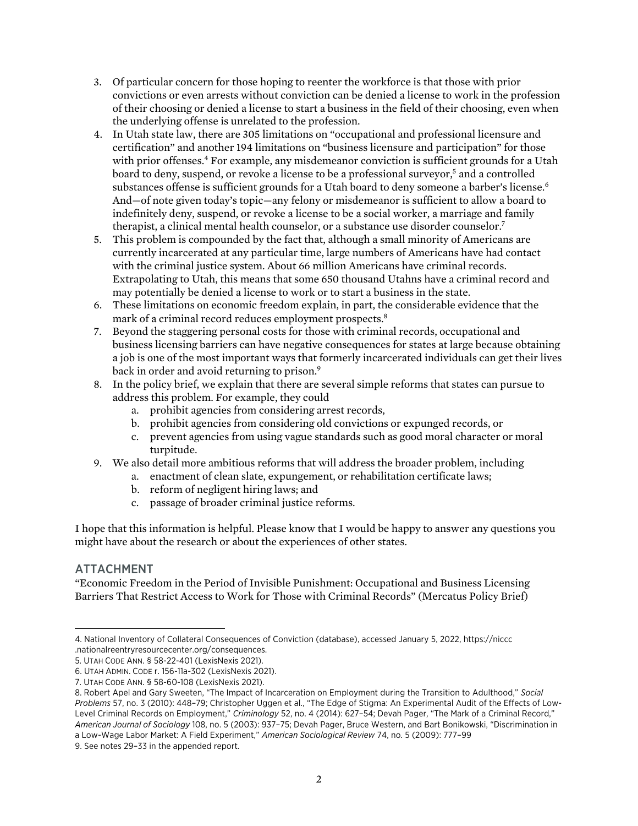- 3. Of particular concern for those hoping to reenter the workforce is that those with prior convictions or even arrests without conviction can be denied a license to work in the profession of their choosing or denied a license to start a business in the field of their choosing, even when the underlying offense is unrelated to the profession.
- 4. In Utah state law, there are 305 limitations on "occupational and professional licensure and certification" and another 194 limitations on "business licensure and participation" for those with prior offenses.<sup>4</sup> For example, any misdemeanor conviction is sufficient grounds for a Utah board to deny, suspend, or revoke a license to be a professional survevor.<sup>5</sup> and a controlled substances offense is sufficient grounds for a Utah board to deny someone a barber's license.<sup>6</sup> And—of note given today's topic—any felony or misdemeanor is sufficient to allow a board to indefinitely deny, suspend, or revoke a license to be a social worker, a marriage and family therapist, a clinical mental health counselor, or a substance use disorder counselor.7
- 5. This problem is compounded by the fact that, although a small minority of Americans are currently incarcerated at any particular time, large numbers of Americans have had contact with the criminal justice system. About 66 million Americans have criminal records. Extrapolating to Utah, this means that some 650 thousand Utahns have a criminal record and may potentially be denied a license to work or to start a business in the state.
- 6. These limitations on economic freedom explain, in part, the considerable evidence that the mark of a criminal record reduces employment prospects.<sup>8</sup>
- 7. Beyond the staggering personal costs for those with criminal records, occupational and business licensing barriers can have negative consequences for states at large because obtaining a job is one of the most important ways that formerly incarcerated individuals can get their lives back in order and avoid returning to prison.<sup>9</sup>
- 8. In the policy brief, we explain that there are several simple reforms that states can pursue to address this problem. For example, they could
	- a. prohibit agencies from considering arrest records,
	- b. prohibit agencies from considering old convictions or expunged records, or
	- c. prevent agencies from using vague standards such as good moral character or moral turpitude.
- 9. We also detail more ambitious reforms that will address the broader problem, including
	- a. enactment of clean slate, expungement, or rehabilitation certificate laws;
		- b. reform of negligent hiring laws; and
		- c. passage of broader criminal justice reforms.

I hope that this information is helpful. Please know that I would be happy to answer any questions you might have about the research or about the experiences of other states.

### ATTACHMENT

"Economic Freedom in the Period of Invisible Punishment: Occupational and Business Licensing Barriers That Restrict Access to Work for Those with Criminal Records" (Mercatus Policy Brief)

9. See notes 29–33 in the appended report.

<sup>4.</sup> National Inventory of Collateral Consequences of Conviction (database), accessed January 5, 2022, [https://niccc](https://niccc.nationalreentryresourcecenter.org/consequences) [.nationalreentryresourcecenter.org/consequences](https://niccc.nationalreentryresourcecenter.org/consequences).

<sup>5.</sup> UTAH CODE ANN. § 58-22-401 (LexisNexis 2021).

<sup>6.</sup> UTAH ADMIN. CODE r. 156-11a-302 (LexisNexis 2021).

<sup>7.</sup> UTAH CODE ANN. § 58-60-108 (LexisNexis 2021).

<sup>8.</sup> Robert Apel and Gary Sweeten, "The Impact of Incarceration on Employment during the Transition to Adulthood," *Social Problems* 57, no. 3 (2010): 448–79; Christopher Uggen et al., "The Edge of Stigma: An Experimental Audit of the Effects of Low-Level Criminal Records on Employment," *Criminology* 52, no. 4 (2014): 627–54; Devah Pager, "The Mark of a Criminal Record," *American Journal of Sociology* 108, no. 5 (2003): 937–75; Devah Pager, Bruce Western, and Bart Bonikowski, "Discrimination in a Low-Wage Labor Market: A Field Experiment," *American Sociological Review* 74, no. 5 (2009): 777–99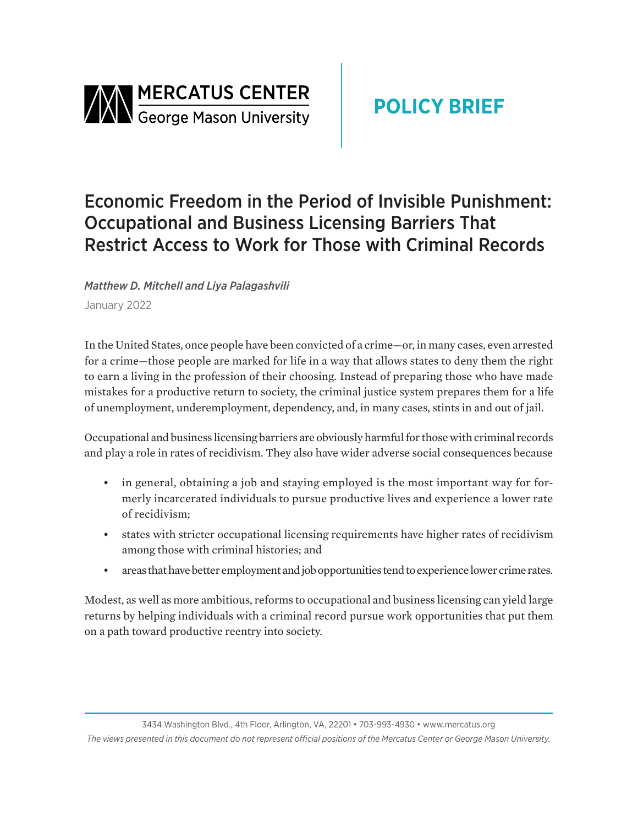

# **POLICY BRIEF**

# Economic Freedom in the Period of Invisible Punishment: Occupational and Business Licensing Barriers That Restrict Access to Work for Those with Criminal Records

*Matthew D. Mitchell and Liya Palagashvili*

January 2022

In the United States, once people have been convicted of a crime—or, in many cases, even arrested for a crime—those people are marked for life in a way that allows states to deny them the right to earn a living in the profession of their choosing. Instead of preparing those who have made mistakes for a productive return to society, the criminal justice system prepares them for a life of unemployment, underemployment, dependency, and, in many cases, stints in and out of jail.

Occupational and business licensing barriers are obviously harmful for those with criminal records and play a role in rates of recidivism. They also have wider adverse social consequences because

- in general, obtaining a job and staying employed is the most important way for formerly incarcerated individuals to pursue productive lives and experience a lower rate of recidivism;
- states with stricter occupational licensing requirements have higher rates of recidivism among those with criminal histories; and
- areas that have better employment and job opportunities tend to experience lower crime rates.

Modest, as well as more ambitious, reforms to occupational and business licensing can yield large returns by helping individuals with a criminal record pursue work opportunities that put them on a path toward productive reentry into society.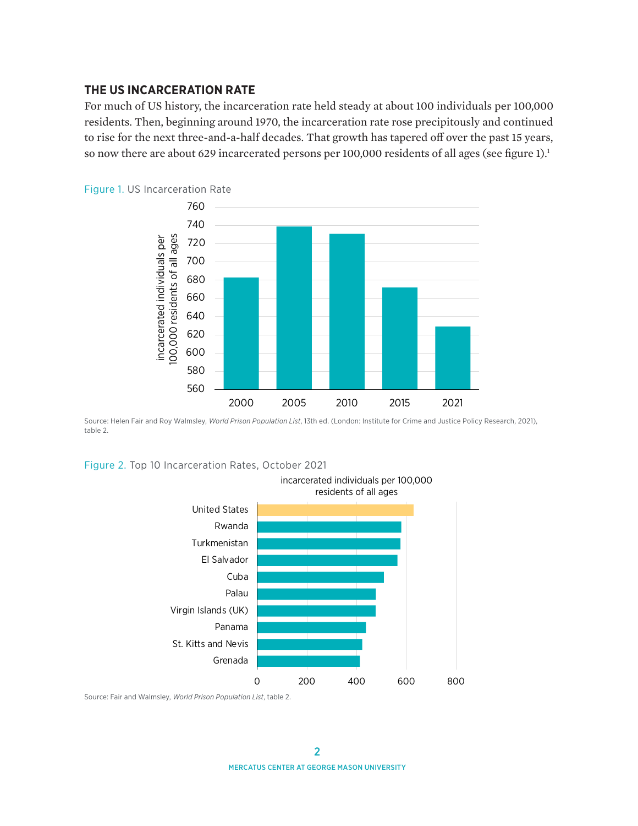#### **THE US INCARCERATION RATE**

For much of US history, the incarceration rate held steady at about 100 individuals per 100,000 residents. Then, beginning around 1970, the incarceration rate rose precipitously and continued to rise for the next three-and-a-half decades. That growth has tapered off over the past 15 years, so now there are about 629 incarcerated persons per 100,000 residents of all ages (see figure 1).<sup>1</sup>



Source: Helen Fair and Roy Walmsley, *World Prison Population List*, 13th ed. (London: Institute for Crime and Justice Policy Research, 2021), table 2.

Figure 2. Top 10 Incarceration Rates, October 2021



Source: Fair and Walmsley, *World Prison Population List*, table 2.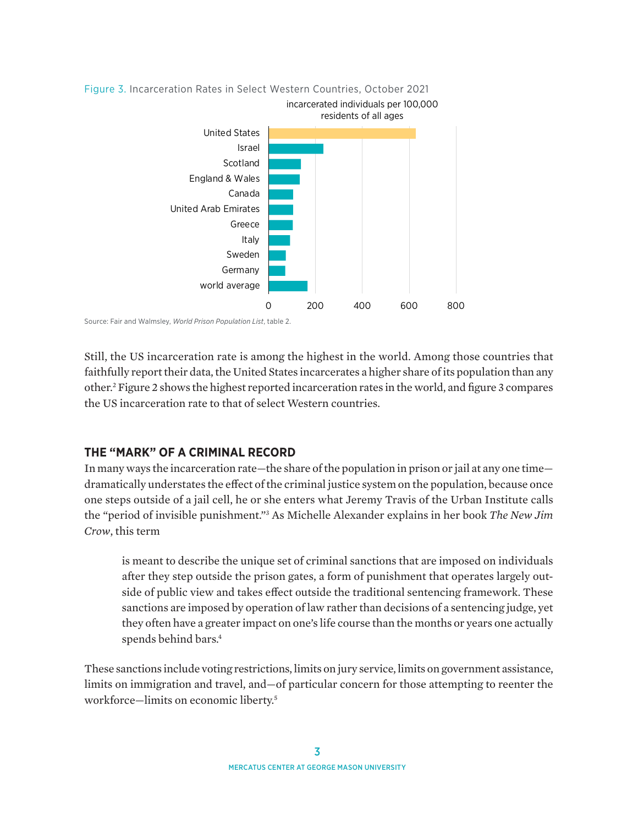

Source: Fair and Walmsley, *World Prison Population List*, table 2.

Still, the US incarceration rate is among the highest in the world. Among those countries that faithfully report their data, the United States incarcerates a higher share of its population than any other.2 Figure 2 shows the highest reported incarceration rates in the world, and figure 3 compares the US incarceration rate to that of select Western countries.

### **THE "MARK" OF A CRIMINAL RECORD**

In many ways the incarceration rate—the share of the population in prison or jail at any one time dramatically understates the effect of the criminal justice system on the population, because once one steps outside of a jail cell, he or she enters what Jeremy Travis of the Urban Institute calls the "period of invisible punishment."3 As Michelle Alexander explains in her book *The New Jim Crow*, this term

is meant to describe the unique set of criminal sanctions that are imposed on individuals after they step outside the prison gates, a form of punishment that operates largely outside of public view and takes effect outside the traditional sentencing framework. These sanctions are imposed by operation of law rather than decisions of a sentencing judge, yet they often have a greater impact on one's life course than the months or years one actually spends behind bars.<sup>4</sup>

These sanctions include voting restrictions, limits on jury service, limits on government assistance, limits on immigration and travel, and—of particular concern for those attempting to reenter the workforce—limits on economic liberty.5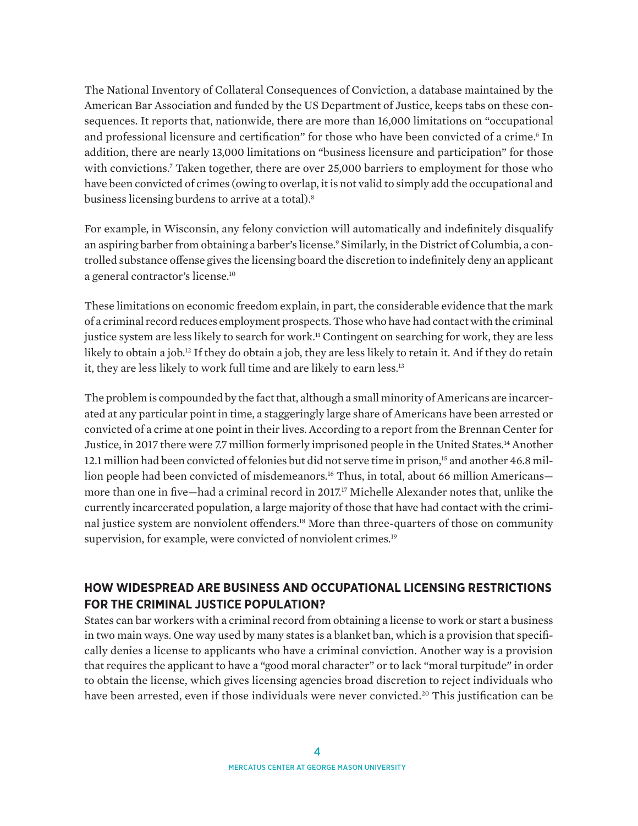The National Inventory of Collateral Consequences of Conviction, a database maintained by the American Bar Association and funded by the US Department of Justice, keeps tabs on these consequences. It reports that, nationwide, there are more than 16,000 limitations on "occupational and professional licensure and certification" for those who have been convicted of a crime.<sup>6</sup> In addition, there are nearly 13,000 limitations on "business licensure and participation" for those with convictions.7 Taken together, there are over 25,000 barriers to employment for those who have been convicted of crimes (owing to overlap, it is not valid to simply add the occupational and business licensing burdens to arrive at a total).8

For example, in Wisconsin, any felony conviction will automatically and indefinitely disqualify an aspiring barber from obtaining a barber's license.<sup>9</sup> Similarly, in the District of Columbia, a controlled substance offense gives the licensing board the discretion to indefinitely deny an applicant a general contractor's license.10

These limitations on economic freedom explain, in part, the considerable evidence that the mark of a criminal record reduces employment prospects. Those who have had contact with the criminal justice system are less likely to search for work.<sup>11</sup> Contingent on searching for work, they are less likely to obtain a job.<sup>12</sup> If they do obtain a job, they are less likely to retain it. And if they do retain it, they are less likely to work full time and are likely to earn less.<sup>13</sup>

The problem is compounded by the fact that, although a small minority of Americans are incarcerated at any particular point in time, a staggeringly large share of Americans have been arrested or convicted of a crime at one point in their lives. According to a report from the Brennan Center for Justice, in 2017 there were 7.7 million formerly imprisoned people in the United States.14 Another 12.1 million had been convicted of felonies but did not serve time in prison,<sup>15</sup> and another 46.8 million people had been convicted of misdemeanors.<sup>16</sup> Thus, in total, about 66 million Americansmore than one in five—had a criminal record in 2017.17 Michelle Alexander notes that, unlike the currently incarcerated population, a large majority of those that have had contact with the criminal justice system are nonviolent offenders.18 More than three-quarters of those on community supervision, for example, were convicted of nonviolent crimes.<sup>19</sup>

## **HOW WIDESPREAD ARE BUSINESS AND OCCUPATIONAL LICENSING RESTRICTIONS FOR THE CRIMINAL JUSTICE POPULATION?**

States can bar workers with a criminal record from obtaining a license to work or start a business in two main ways. One way used by many states is a blanket ban, which is a provision that specifically denies a license to applicants who have a criminal conviction. Another way is a provision that requires the applicant to have a "good moral character" or to lack "moral turpitude" in order to obtain the license, which gives licensing agencies broad discretion to reject individuals who have been arrested, even if those individuals were never convicted.<sup>20</sup> This justification can be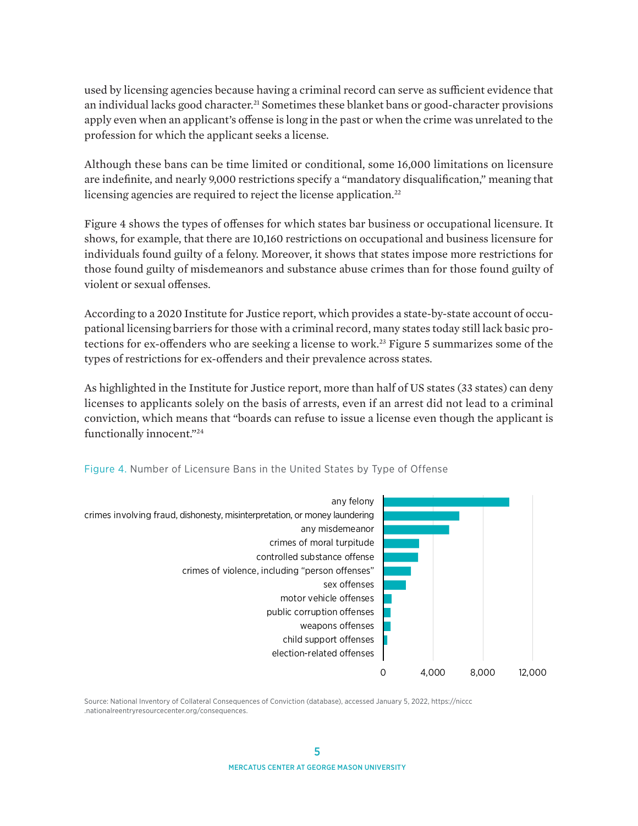used by licensing agencies because having a criminal record can serve as sufficient evidence that an individual lacks good character.<sup>21</sup> Sometimes these blanket bans or good-character provisions apply even when an applicant's offense is long in the past or when the crime was unrelated to the profession for which the applicant seeks a license.

Although these bans can be time limited or conditional, some 16,000 limitations on licensure are indefinite, and nearly 9,000 restrictions specify a "mandatory disqualification," meaning that licensing agencies are required to reject the license application.<sup>22</sup>

Figure 4 shows the types of offenses for which states bar business or occupational licensure. It shows, for example, that there are 10,160 restrictions on occupational and business licensure for individuals found guilty of a felony. Moreover, it shows that states impose more restrictions for those found guilty of misdemeanors and substance abuse crimes than for those found guilty of violent or sexual offenses.

According to a 2020 Institute for Justice report, which provides a state-by-state account of occupational licensing barriers for those with a criminal record, many states today still lack basic protections for ex-offenders who are seeking a license to work.<sup>23</sup> Figure 5 summarizes some of the types of restrictions for ex-offenders and their prevalence across states.

As highlighted in the Institute for Justice report, more than half of US states (33 states) can deny licenses to applicants solely on the basis of arrests, even if an arrest did not lead to a criminal conviction, which means that "boards can refuse to issue a license even though the applicant is functionally innocent."24



Figure 4. Number of Licensure Bans in the United States by Type of Offense

Source: National Inventory of Collateral Consequences of Conviction (database), accessed January 5, 2022, [https://niccc](https://niccc.nationalreentryresourcecenter.org/consequences) [.nationalreentryresourcecenter.org/consequences.](https://niccc.nationalreentryresourcecenter.org/consequences)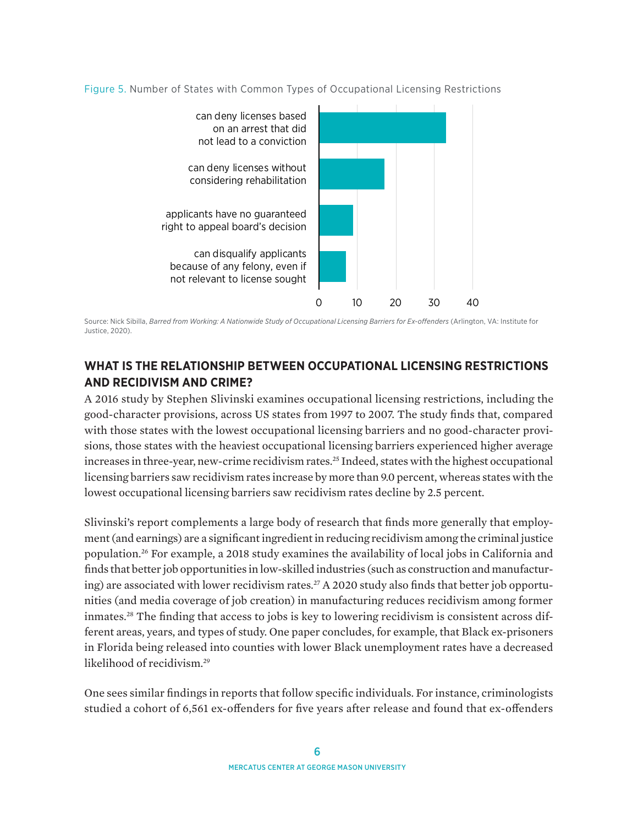



Source: Nick Sibilla, *Barred from Working: A Nationwide Study of Occupational Licensing Barriers for Ex-offenders* (Arlington, VA: Institute for Justice, 2020).

## **WHAT IS THE RELATIONSHIP BETWEEN OCCUPATIONAL LICENSING RESTRICTIONS AND RECIDIVISM AND CRIME?**

A 2016 study by Stephen Slivinski examines occupational licensing restrictions, including the good-character provisions, across US states from 1997 to 2007. The study finds that, compared with those states with the lowest occupational licensing barriers and no good-character provisions, those states with the heaviest occupational licensing barriers experienced higher average increases in three-year, new-crime recidivism rates.<sup>25</sup> Indeed, states with the highest occupational licensing barriers saw recidivism rates increase by more than 9.0 percent, whereas states with the lowest occupational licensing barriers saw recidivism rates decline by 2.5 percent.

Slivinski's report complements a large body of research that finds more generally that employment (and earnings) are a significant ingredient in reducing recidivism among the criminal justice population.26 For example, a 2018 study examines the availability of local jobs in California and finds that better job opportunities in low-skilled industries (such as construction and manufacturing) are associated with lower recidivism rates.<sup>27</sup> A 2020 study also finds that better job opportunities (and media coverage of job creation) in manufacturing reduces recidivism among former inmates.28 The finding that access to jobs is key to lowering recidivism is consistent across different areas, years, and types of study. One paper concludes, for example, that Black ex-prisoners in Florida being released into counties with lower Black unemployment rates have a decreased likelihood of recidivism.<sup>29</sup>

One sees similar findings in reports that follow specific individuals. For instance, criminologists studied a cohort of 6,561 ex-offenders for five years after release and found that ex-offenders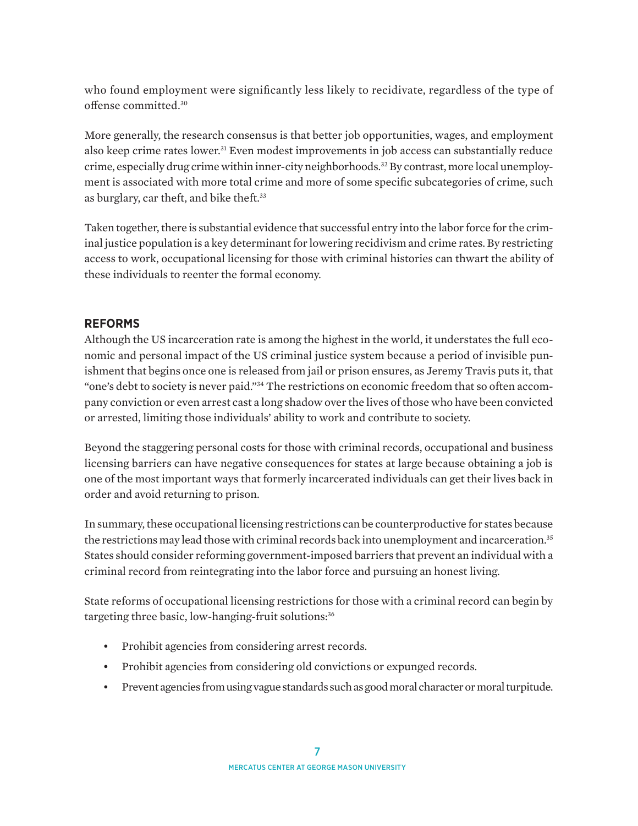who found employment were significantly less likely to recidivate, regardless of the type of offense committed.30

More generally, the research consensus is that better job opportunities, wages, and employment also keep crime rates lower.31 Even modest improvements in job access can substantially reduce crime, especially drug crime within inner-city neighborhoods.<sup>32</sup> By contrast, more local unemployment is associated with more total crime and more of some specific subcategories of crime, such as burglary, car theft, and bike theft.33

Taken together, there is substantial evidence that successful entry into the labor force for the criminal justice population is a key determinant for lowering recidivism and crime rates. By restricting access to work, occupational licensing for those with criminal histories can thwart the ability of these individuals to reenter the formal economy.

## **REFORMS**

Although the US incarceration rate is among the highest in the world, it understates the full economic and personal impact of the US criminal justice system because a period of invisible punishment that begins once one is released from jail or prison ensures, as Jeremy Travis puts it, that "one's debt to society is never paid."34 The restrictions on economic freedom that so often accompany conviction or even arrest cast a long shadow over the lives of those who have been convicted or arrested, limiting those individuals' ability to work and contribute to society.

Beyond the staggering personal costs for those with criminal records, occupational and business licensing barriers can have negative consequences for states at large because obtaining a job is one of the most important ways that formerly incarcerated individuals can get their lives back in order and avoid returning to prison.

In summary, these occupational licensing restrictions can be counterproductive for states because the restrictions may lead those with criminal records back into unemployment and incarceration.<sup>35</sup> States should consider reforming government-imposed barriers that prevent an individual with a criminal record from reintegrating into the labor force and pursuing an honest living.

State reforms of occupational licensing restrictions for those with a criminal record can begin by targeting three basic, low-hanging-fruit solutions:<sup>36</sup>

- Prohibit agencies from considering arrest records.
- Prohibit agencies from considering old convictions or expunged records.
- Prevent agencies from using vague standards such as good moral character or moral turpitude.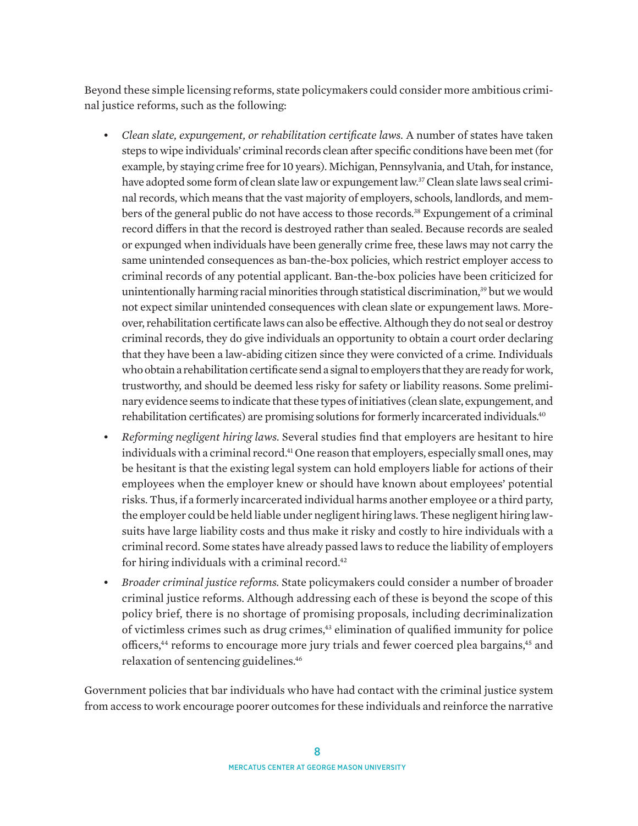Beyond these simple licensing reforms, state policymakers could consider more ambitious criminal justice reforms, such as the following:

- *• Clean slate, expungement, or rehabilitation certificate laws.* A number of states have taken steps to wipe individuals' criminal records clean after specific conditions have been met (for example, by staying crime free for 10 years). Michigan, Pennsylvania, and Utah, for instance, have adopted some form of clean slate law or expungement law.37 Clean slate laws seal criminal records, which means that the vast majority of employers, schools, landlords, and members of the general public do not have access to those records.38 Expungement of a criminal record differs in that the record is destroyed rather than sealed. Because records are sealed or expunged when individuals have been generally crime free, these laws may not carry the same unintended consequences as ban-the-box policies, which restrict employer access to criminal records of any potential applicant. Ban-the-box policies have been criticized for unintentionally harming racial minorities through statistical discrimination,<sup>39</sup> but we would not expect similar unintended consequences with clean slate or expungement laws. Moreover, rehabilitation certificate laws can also be effective. Although they do not seal or destroy criminal records, they do give individuals an opportunity to obtain a court order declaring that they have been a law-abiding citizen since they were convicted of a crime. Individuals who obtain a rehabilitation certificate send a signal to employers that they are ready for work, trustworthy, and should be deemed less risky for safety or liability reasons. Some preliminary evidence seems to indicate that these types of initiatives (clean slate, expungement, and rehabilitation certificates) are promising solutions for formerly incarcerated individuals.<sup>40</sup>
- *• Reforming negligent hiring laws.* Several studies find that employers are hesitant to hire individuals with a criminal record.<sup>41</sup> One reason that employers, especially small ones, may be hesitant is that the existing legal system can hold employers liable for actions of their employees when the employer knew or should have known about employees' potential risks. Thus, if a formerly incarcerated individual harms another employee or a third party, the employer could be held liable under negligent hiring laws. These negligent hiring lawsuits have large liability costs and thus make it risky and costly to hire individuals with a criminal record. Some states have already passed laws to reduce the liability of employers for hiring individuals with a criminal record.<sup>42</sup>
- *• Broader criminal justice reforms.* State policymakers could consider a number of broader criminal justice reforms. Although addressing each of these is beyond the scope of this policy brief, there is no shortage of promising proposals, including decriminalization of victimless crimes such as drug crimes,43 elimination of qualified immunity for police officers,44 reforms to encourage more jury trials and fewer coerced plea bargains,45 and relaxation of sentencing guidelines.46

Government policies that bar individuals who have had contact with the criminal justice system from access to work encourage poorer outcomes for these individuals and reinforce the narrative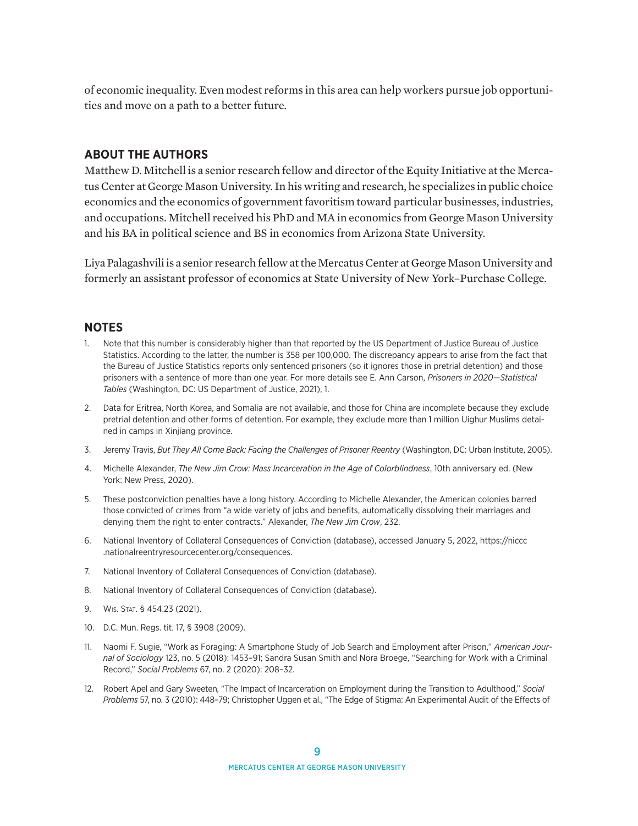of economic inequality. Even modest reforms in this area can help workers pursue job opportunities and move on a path to a better future.

#### **ABOUT THE AUTHORS**

Matthew D. Mitchell is a senior research fellow and director of the Equity Initiative at the Mercatus Center at George Mason University. In his writing and research, he specializes in public choice economics and the economics of government favoritism toward particular businesses, industries, and occupations. Mitchell received his PhD and MA in economics from George Mason University and his BA in political science and BS in economics from Arizona State University.

Liya Palagashvili is a senior research fellow at the Mercatus Center at George Mason University and formerly an assistant professor of economics at State University of New York–Purchase College.

#### **NOTES**

- 1. Note that this number is considerably higher than that reported by the US Department of Justice Bureau of Justice Statistics. According to the latter, the number is 358 per 100,000. The discrepancy appears to arise from the fact that the Bureau of Justice Statistics reports only sentenced prisoners (so it ignores those in pretrial detention) and those prisoners with a sentence of more than one year. For more details see E. Ann Carson, *Prisoners in 2020—Statistical Tables* (Washington, DC: US Department of Justice, 2021), 1.
- 2. Data for Eritrea, North Korea, and Somalia are not available, and those for China are incomplete because they exclude pretrial detention and other forms of detention. For example, they exclude more than 1 million Uighur Muslims detained in camps in Xinjiang province.
- 3. Jeremy Travis, *But They All Come Back: Facing the Challenges of Prisoner Reentry* (Washington, DC: Urban Institute, 2005).
- 4. Michelle Alexander, *The New Jim Crow: Mass Incarceration in the Age of Colorblindness*, 10th anniversary ed. (New York: New Press, 2020).
- 5. These postconviction penalties have a long history. According to Michelle Alexander, the American colonies barred those convicted of crimes from "a wide variety of jobs and benefits, automatically dissolving their marriages and denying them the right to enter contracts." Alexander, *The New Jim Crow*, 232.
- 6. National Inventory of Collateral Consequences of Conviction (database), accessed January 5, 2022, [https://niccc](https://niccc.nationalreentryresourcecenter.org/consequences) [.nationalreentryresourcecenter.org/consequences.](https://niccc.nationalreentryresourcecenter.org/consequences)
- 7. National Inventory of Collateral Consequences of Conviction (database).
- 8. National Inventory of Collateral Consequences of Conviction (database).
- 9. Wis. Stat. § 454.23 (2021).
- 10. D.C. Mun. Regs. tit. 17, § 3908 (2009).
- 11. Naomi F. Sugie, "Work as Foraging: A Smartphone Study of Job Search and Employment after Prison," *American Journal of Sociology* 123, no. 5 (2018): 1453–91; Sandra Susan Smith and Nora Broege, "Searching for Work with a Criminal Record," *Social Problems* 67, no. 2 (2020): 208–32.
- 12. Robert Apel and Gary Sweeten, "The Impact of Incarceration on Employment during the Transition to Adulthood," *Social Problems* 57, no. 3 (2010): 448–79; Christopher Uggen et al., "The Edge of Stigma: An Experimental Audit of the Effects of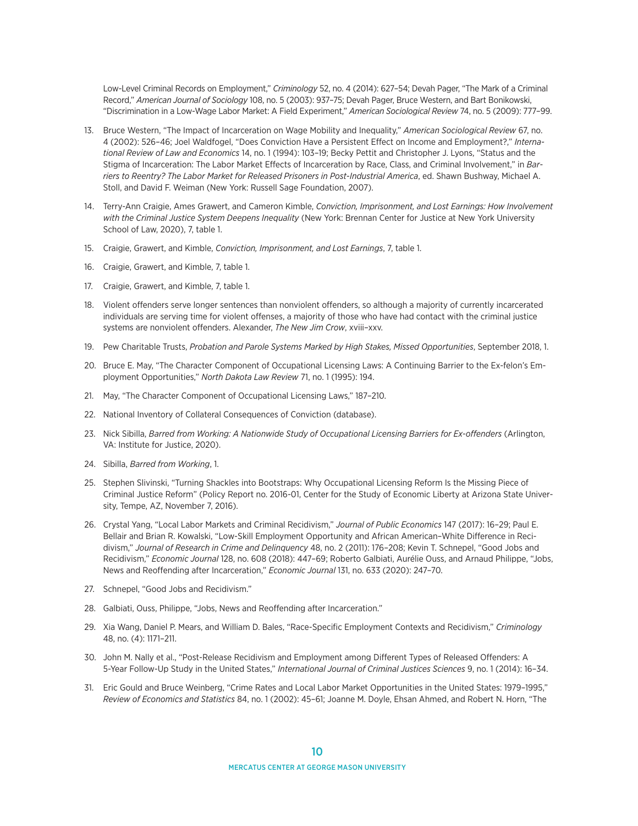Low-Level Criminal Records on Employment," *Criminology* 52, no. 4 (2014): 627–54; Devah Pager, "The Mark of a Criminal Record," *American Journal of Sociology* 108, no. 5 (2003): 937–75; Devah Pager, Bruce Western, and Bart Bonikowski, "Discrimination in a Low-Wage Labor Market: A Field Experiment," *American Sociological Review* 74, no. 5 (2009): 777–99.

- 13. Bruce Western, "The Impact of Incarceration on Wage Mobility and Inequality," *American Sociological Review* 67, no. 4 (2002): 526–46; Joel Waldfogel, "Does Conviction Have a Persistent Effect on Income and Employment?," *International Review of Law and Economics* 14, no. 1 (1994): 103–19; Becky Pettit and Christopher J. Lyons, "Status and the Stigma of Incarceration: The Labor Market Effects of Incarceration by Race, Class, and Criminal Involvement," in *Barriers to Reentry? The Labor Market for Released Prisoners in Post-Industrial America*, ed. Shawn Bushway, Michael A. Stoll, and David F. Weiman (New York: Russell Sage Foundation, 2007).
- 14. Terry-Ann Craigie, Ames Grawert, and Cameron Kimble, *Conviction, Imprisonment, and Lost Earnings: How Involvement with the Criminal Justice System Deepens Inequality* (New York: Brennan Center for Justice at New York University School of Law, 2020), 7, table 1.
- 15. Craigie, Grawert, and Kimble, *Conviction, Imprisonment, and Lost Earnings*, 7, table 1.
- 16. Craigie, Grawert, and Kimble, 7, table 1.
- 17. Craigie, Grawert, and Kimble, 7, table 1.
- 18. Violent offenders serve longer sentences than nonviolent offenders, so although a majority of currently incarcerated individuals are serving time for violent offenses, a majority of those who have had contact with the criminal justice systems are nonviolent offenders. Alexander, *The New Jim Crow*, xviii–xxv.
- 19. Pew Charitable Trusts, *Probation and Parole Systems Marked by High Stakes, Missed Opportunities*, September 2018, 1.
- 20. Bruce E. May, "The Character Component of Occupational Licensing Laws: A Continuing Barrier to the Ex-felon's Employment Opportunities," *North Dakota Law Review* 71, no. 1 (1995): 194.
- 21. May, "The Character Component of Occupational Licensing Laws," 187–210.
- 22. National Inventory of Collateral Consequences of Conviction (database).
- 23. Nick Sibilla, *Barred from Working: A Nationwide Study of Occupational Licensing Barriers for Ex-offenders* (Arlington, VA: Institute for Justice, 2020).
- 24. Sibilla, *Barred from Working*, 1.
- 25. Stephen Slivinski, "Turning Shackles into Bootstraps: Why Occupational Licensing Reform Is the Missing Piece of Criminal Justice Reform" (Policy Report no. 2016-01, Center for the Study of Economic Liberty at Arizona State University, Tempe, AZ, November 7, 2016).
- 26. Crystal Yang, "Local Labor Markets and Criminal Recidivism," *Journal of Public Economics* 147 (2017): 16–29; Paul E. Bellair and Brian R. Kowalski, "Low-Skill Employment Opportunity and African American–White Difference in Recidivism," *Journal of Research in Crime and Delinquency* 48, no. 2 (2011): 176–208; Kevin T. Schnepel, "Good Jobs and Recidivism," *Economic Journal* 128, no. 608 (2018): 447–69; Roberto Galbiati, Aurélie Ouss, and Arnaud Philippe, "Jobs, News and Reoffending after Incarceration," *Economic Journal* 131, no. 633 (2020): 247–70.
- 27. Schnepel, "Good Jobs and Recidivism."
- 28. Galbiati, Ouss, Philippe, "Jobs, News and Reoffending after Incarceration."
- 29. Xia Wang, Daniel P. Mears, and William D. Bales, "Race-Specific Employment Contexts and Recidivism," *Criminology* 48, no. (4): 1171–211.
- 30. John M. Nally et al., "Post-Release Recidivism and Employment among Different Types of Released Offenders: A 5-Year Follow-Up Study in the United States," *International Journal of Criminal Justices Sciences* 9, no. 1 (2014): 16–34.
- 31. Eric Gould and Bruce Weinberg, "Crime Rates and Local Labor Market Opportunities in the United States: 1979–1995," *Review of Economics and Statistics* 84, no. 1 (2002): 45–61; Joanne M. Doyle, Ehsan Ahmed, and Robert N. Horn, "The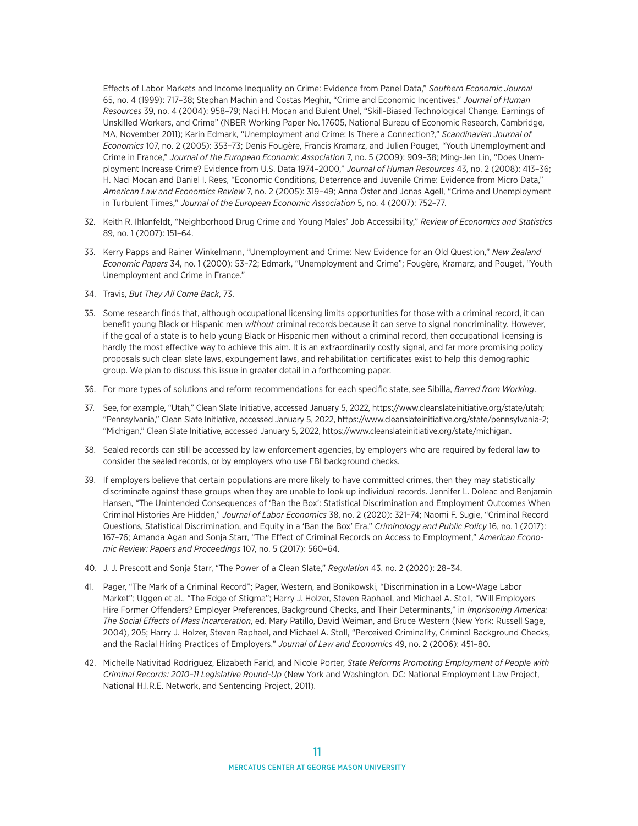Effects of Labor Markets and Income Inequality on Crime: Evidence from Panel Data," *Southern Economic Journal* 65, no. 4 (1999): 717–38; Stephan Machin and Costas Meghir, "Crime and Economic Incentives," *Journal of Human Resources* 39, no. 4 (2004): 958–79; Naci H. Mocan and Bulent Unel, "Skill-Biased Technological Change, Earnings of Unskilled Workers, and Crime" (NBER Working Paper No. 17605, National Bureau of Economic Research, Cambridge, MA, November 2011); Karin Edmark, "Unemployment and Crime: Is There a Connection?," *Scandinavian Journal of Economics* 107, no. 2 (2005): 353–73; Denis Fougère, Francis Kramarz, and Julien Pouget, "Youth Unemployment and Crime in France," *Journal of the European Economic Association* 7, no. 5 (2009): 909–38; Ming-Jen Lin, "Does Unemployment Increase Crime? Evidence from U.S. Data 1974–2000," *Journal of Human Resources* 43, no. 2 (2008): 413–36; H. Naci Mocan and Daniel I. Rees, "Economic Conditions, Deterrence and Juvenile Crime: Evidence from Micro Data," *American Law and Economics Review* 7, no. 2 (2005): 319–49; Anna Öster and Jonas Agell, "Crime and Unemployment in Turbulent Times," *Journal of the European Economic Association* 5, no. 4 (2007): 752–77.

- 32. Keith R. Ihlanfeldt, "Neighborhood Drug Crime and Young Males' Job Accessibility," *Review of Economics and Statistics* 89, no. 1 (2007): 151–64.
- 33. Kerry Papps and Rainer Winkelmann, "Unemployment and Crime: New Evidence for an Old Question," *New Zealand Economic Papers* 34, no. 1 (2000): 53–72; Edmark, "Unemployment and Crime"; Fougère, Kramarz, and Pouget, "Youth Unemployment and Crime in France."
- 34. Travis, *But They All Come Back*, 73.
- 35. Some research finds that, although occupational licensing limits opportunities for those with a criminal record, it can benefit young Black or Hispanic men *without* criminal records because it can serve to signal noncriminality. However, if the goal of a state is to help young Black or Hispanic men without a criminal record, then occupational licensing is hardly the most effective way to achieve this aim. It is an extraordinarily costly signal, and far more promising policy proposals such clean slate laws, expungement laws, and rehabilitation certificates exist to help this demographic group. We plan to discuss this issue in greater detail in a forthcoming paper.
- 36. For more types of solutions and reform recommendations for each specific state, see Sibilla, *Barred from Working*.
- 37. See, for example, "Utah," Clean Slate Initiative, accessed January 5, 2022, [https://www.cleanslateinitiative.org/state/utah;](https://www.cleanslateinitiative.org/state/utah) "Pennsylvania," Clean Slate Initiative, accessed January 5, 2022, [https://www.cleanslateinitiative.org/state/pennsylvania-2;](https://www.cleanslateinitiative.org/state/pennsylvania-2) "Michigan," Clean Slate Initiative, accessed January 5, 2022, [https://www.cleanslateinitiative.org/state/michigan.](https://www.cleanslateinitiative.org/state/michigan)
- 38. Sealed records can still be accessed by law enforcement agencies, by employers who are required by federal law to consider the sealed records, or by employers who use FBI background checks.
- 39. If employers believe that certain populations are more likely to have committed crimes, then they may statistically discriminate against these groups when they are unable to look up individual records. Jennifer L. Doleac and Benjamin Hansen, "The Unintended Consequences of 'Ban the Box': Statistical Discrimination and Employment Outcomes When Criminal Histories Are Hidden," *Journal of Labor Economics* 38, no. 2 (2020): 321–74; Naomi F. Sugie, "Criminal Record Questions, Statistical Discrimination, and Equity in a 'Ban the Box' Era," *Criminology and Public Policy* 16, no. 1 (2017): 167–76; Amanda Agan and Sonja Starr, "The Effect of Criminal Records on Access to Employment," *American Economic Review: Papers and Proceedings* 107, no. 5 (2017): 560–64.
- 40. J. J. Prescott and Sonja Starr, "The Power of a Clean Slate," *Regulation* 43, no. 2 (2020): 28–34.
- 41. Pager, "The Mark of a Criminal Record"; Pager, Western, and Bonikowski, "Discrimination in a Low-Wage Labor Market"; Uggen et al., "The Edge of Stigma"; Harry J. Holzer, Steven Raphael, and Michael A. Stoll, "Will Employers Hire Former Offenders? Employer Preferences, Background Checks, and Their Determinants," in *Imprisoning America: The Social Effects of Mass Incarceration*, ed. Mary Patillo, David Weiman, and Bruce Western (New York: Russell Sage, 2004), 205; Harry J. Holzer, Steven Raphael, and Michael A. Stoll, "Perceived Criminality, Criminal Background Checks, and the Racial Hiring Practices of Employers," *Journal of Law and Economics* 49, no. 2 (2006): 451–80.
- 42. Michelle Nativitad Rodriguez, Elizabeth Farid, and Nicole Porter, *State Reforms Promoting Employment of People with Criminal Records: 2010–11 Legislative Round-Up* (New York and Washington, DC: National Employment Law Project, National H.I.R.E. Network, and Sentencing Project, 2011).